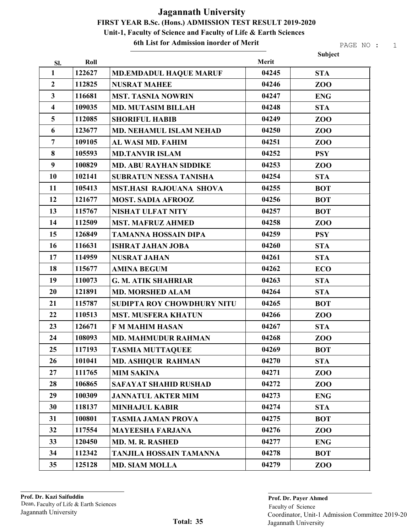6th List for Admission inorder of Merit

PAGE NO : 1

Subject

| SI.                     | Roll   |                                | Merit |                 |
|-------------------------|--------|--------------------------------|-------|-----------------|
| $\mathbf{1}$            | 122627 | <b>MD.EMDADUL HAQUE MARUF</b>  | 04245 | <b>STA</b>      |
| $\overline{2}$          | 112825 | <b>NUSRAT MAHEE</b>            | 04246 | ZO <sub>O</sub> |
| $\mathbf{3}$            | 116681 | <b>MST. TASNIA NOWRIN</b>      | 04247 | <b>ENG</b>      |
| $\overline{\mathbf{4}}$ | 109035 | <b>MD. MUTASIM BILLAH</b>      | 04248 | <b>STA</b>      |
| 5                       | 112085 | <b>SHORIFUL HABIB</b>          | 04249 | ZOO             |
| 6                       | 123677 | <b>MD. NEHAMUL ISLAM NEHAD</b> | 04250 | ZO <sub>O</sub> |
| $\overline{7}$          | 109105 | AL WASI MD. FAHIM              | 04251 | ZOO             |
| $\bf{8}$                | 105593 | <b>MD.TANVIR ISLAM</b>         | 04252 | <b>PSY</b>      |
| $\boldsymbol{9}$        | 100829 | <b>MD. ABU RAYHAN SIDDIKE</b>  | 04253 | ZO <sub>O</sub> |
| 10                      | 102141 | <b>SUBRATUN NESSA TANISHA</b>  | 04254 | <b>STA</b>      |
| 11                      | 105413 | <b>MST.HASI RAJOUANA SHOVA</b> | 04255 | <b>BOT</b>      |
| 12                      | 121677 | <b>MOST. SADIA AFROOZ</b>      | 04256 | <b>BOT</b>      |
| 13                      | 115767 | <b>NISHAT ULFAT NITY</b>       | 04257 | <b>BOT</b>      |
| 14                      | 112509 | <b>MST. MAFRUZ AHMED</b>       | 04258 | ZOO             |
| 15                      | 126849 | <b>TAMANNA HOSSAIN DIPA</b>    | 04259 | <b>PSY</b>      |
| 16                      | 116631 | <b>ISHRAT JAHAN JOBA</b>       | 04260 | <b>STA</b>      |
| 17                      | 114959 | <b>NUSRAT JAHAN</b>            | 04261 | <b>STA</b>      |
| 18                      | 115677 | <b>AMINA BEGUM</b>             | 04262 | <b>ECO</b>      |
| 19                      | 110073 | <b>G. M. ATIK SHAHRIAR</b>     | 04263 | <b>STA</b>      |
| 20                      | 121891 | <b>MD. MORSHED ALAM</b>        | 04264 | <b>STA</b>      |
| 21                      | 115787 | SUDIPTA ROY CHOWDHURY NITU     | 04265 | <b>BOT</b>      |
| 22                      | 110513 | <b>MST. MUSFERA KHATUN</b>     | 04266 | ZOO             |
| 23                      | 126671 | <b>F M MAHIM HASAN</b>         | 04267 | <b>STA</b>      |
| 24                      | 108093 | <b>MD. MAHMUDUR RAHMAN</b>     | 04268 | ZOO             |
| 25                      | 117193 | <b>TASMIA MUTTAQUEE</b>        | 04269 | <b>BOT</b>      |
| 26                      | 101041 | <b>MD. ASHIQUR RAHMAN</b>      | 04270 | <b>STA</b>      |
| 27                      | 111765 | <b>MIM SAKINA</b>              | 04271 | ZO <sub>O</sub> |
| 28                      | 106865 | <b>SAFAYAT SHAHID RUSHAD</b>   | 04272 | ZOO             |
| 29                      | 100309 | <b>JANNATUL AKTER MIM</b>      | 04273 | <b>ENG</b>      |
| 30                      | 118137 | <b>MINHAJUL KABIR</b>          | 04274 | <b>STA</b>      |
| 31                      | 100801 | <b>TASMIA JAMAN PROVA</b>      | 04275 | <b>BOT</b>      |
| 32                      | 117554 | <b>MAYEESHA FARJANA</b>        | 04276 | ZOO             |
| 33                      | 120450 | MD. M. R. RASHED               | 04277 | <b>ENG</b>      |
| 34                      | 112342 | <b>TANJILA HOSSAIN TAMANNA</b> | 04278 | <b>BOT</b>      |
| 35                      | 125128 | <b>MD. SIAM MOLLA</b>          | 04279 | ZOO             |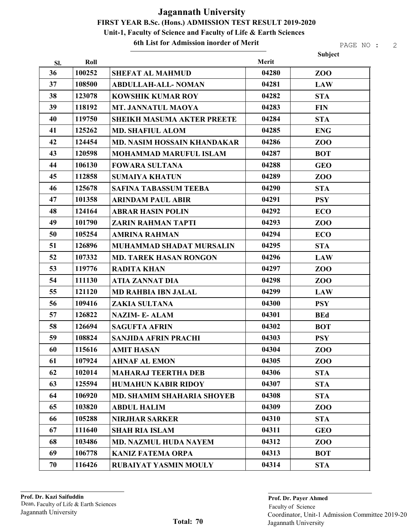#### 6th List for Admission inorder of Merit

|     |        |                                    |       | Subject    |
|-----|--------|------------------------------------|-------|------------|
| SI. | Roll   |                                    | Merit |            |
| 36  | 100252 | <b>SHEFAT AL MAHMUD</b>            | 04280 | ZOO        |
| 37  | 108500 | <b>ABDULLAH-ALL-NOMAN</b>          | 04281 | <b>LAW</b> |
| 38  | 123078 | <b>KOWSHIK KUMAR ROY</b>           | 04282 | <b>STA</b> |
| 39  | 118192 | <b>MT. JANNATUL MAOYA</b>          | 04283 | <b>FIN</b> |
| 40  | 119750 | <b>SHEIKH MASUMA AKTER PREETE</b>  | 04284 | <b>STA</b> |
| 41  | 125262 | <b>MD. SHAFIUL ALOM</b>            | 04285 | <b>ENG</b> |
| 42  | 124454 | <b>MD. NASIM HOSSAIN KHANDAKAR</b> | 04286 | ZOO        |
| 43  | 120598 | <b>MOHAMMAD MARUFUL ISLAM</b>      | 04287 | <b>BOT</b> |
| 44  | 106130 | <b>FOWARA SULTANA</b>              | 04288 | <b>GEO</b> |
| 45  | 112858 | <b>SUMAIYA KHATUN</b>              | 04289 | ZOO        |
| 46  | 125678 | <b>SAFINA TABASSUM TEEBA</b>       | 04290 | <b>STA</b> |
| 47  | 101358 | <b>ARINDAM PAUL ABIR</b>           | 04291 | <b>PSY</b> |
| 48  | 124164 | <b>ABRAR HASIN POLIN</b>           | 04292 | <b>ECO</b> |
| 49  | 101790 | <b>ZARIN RAHMAN TAPTI</b>          | 04293 | ZOO        |
| 50  | 105254 | <b>AMRINA RAHMAN</b>               | 04294 | <b>ECO</b> |
| 51  | 126896 | MUHAMMAD SHADAT MURSALIN           | 04295 | <b>STA</b> |
| 52  | 107332 | <b>MD. TAREK HASAN RONGON</b>      | 04296 | <b>LAW</b> |
| 53  | 119776 | <b>RADITA KHAN</b>                 | 04297 | ZOO        |
| 54  | 111130 | <b>ATIA ZANNAT DIA</b>             | 04298 | ZOO        |
| 55  | 121120 | <b>MD RAHBIA IBN JALAL</b>         | 04299 | <b>LAW</b> |
| 56  | 109416 | <b>ZAKIA SULTANA</b>               | 04300 | <b>PSY</b> |
| 57  | 126822 | <b>NAZIM-E-ALAM</b>                | 04301 | <b>BEd</b> |
| 58  | 126694 | <b>SAGUFTA AFRIN</b>               | 04302 | <b>BOT</b> |
| 59  | 108824 | <b>SANJIDA AFRIN PRACHI</b>        | 04303 | <b>PSY</b> |
| 60  | 115616 | <b>AMIT HASAN</b>                  | 04304 | ZOO        |
| 61  | 107924 | <b>AHNAF AL EMON</b>               | 04305 | ZOO        |
| 62  | 102014 | <b>MAHARAJ TEERTHA DEB</b>         | 04306 | <b>STA</b> |
| 63  | 125594 | <b>HUMAHUN KABIR RIDOY</b>         | 04307 | <b>STA</b> |
| 64  | 106920 | MD. SHAMIM SHAHARIA SHOYEB         | 04308 | <b>STA</b> |
| 65  | 103820 | <b>ABDUL HALIM</b>                 | 04309 | ZOO        |
| 66  | 105288 | <b>NIRJHAR SARKER</b>              | 04310 | <b>STA</b> |
| 67  | 111640 | <b>SHAH RIA ISLAM</b>              | 04311 | <b>GEO</b> |
| 68  | 103486 | <b>MD. NAZMUL HUDA NAYEM</b>       | 04312 | ZOO        |
| 69  | 106778 | <b>KANIZ FATEMA ORPA</b>           | 04313 | <b>BOT</b> |
| 70  | 116426 | RUBAIYAT YASMIN MOULY              | 04314 | <b>STA</b> |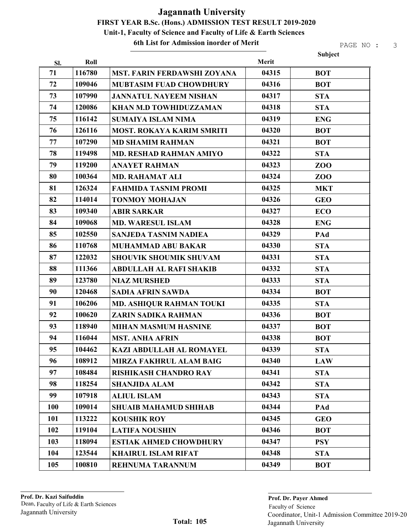#### 6th List for Admission inorder of Merit

|            |        |                                  |       | Subject    |
|------------|--------|----------------------------------|-------|------------|
| Sl.        | Roll   |                                  | Merit |            |
| 71         | 116780 | MST. FARIN FERDAWSHI ZOYANA      | 04315 | <b>BOT</b> |
| 72         | 109046 | <b>MUBTASIM FUAD CHOWDHURY</b>   | 04316 | <b>BOT</b> |
| 73         | 107990 | <b>JANNATUL NAYEEM NISHAN</b>    | 04317 | <b>STA</b> |
| 74         | 120086 | KHAN M.D TOWHIDUZZAMAN           | 04318 | <b>STA</b> |
| 75         | 116142 | <b>SUMAIYA ISLAM NIMA</b>        | 04319 | <b>ENG</b> |
| 76         | 126116 | <b>MOST. ROKAYA KARIM SMRITI</b> | 04320 | <b>BOT</b> |
| 77         | 107290 | <b>MD SHAMIM RAHMAN</b>          | 04321 | <b>BOT</b> |
| 78         | 119498 | <b>MD. RESHAD RAHMAN AMIYO</b>   | 04322 | <b>STA</b> |
| 79         | 119200 | <b>ANAYET RAHMAN</b>             | 04323 | ZOO        |
| 80         | 100364 | <b>MD. RAHAMAT ALI</b>           | 04324 | ZOO        |
| 81         | 126324 | <b>FAHMIDA TASNIM PROMI</b>      | 04325 | <b>MKT</b> |
| 82         | 114014 | <b>TONMOY MOHAJAN</b>            | 04326 | <b>GEO</b> |
| 83         | 109340 | <b>ABIR SARKAR</b>               | 04327 | <b>ECO</b> |
| 84         | 109068 | <b>MD. WARESUL ISLAM</b>         | 04328 | <b>ENG</b> |
| 85         | 102550 | <b>SANJEDA TASNIM NADIEA</b>     | 04329 | PAd        |
| 86         | 110768 | <b>MUHAMMAD ABU BAKAR</b>        | 04330 | <b>STA</b> |
| 87         | 122032 | <b>SHOUVIK SHOUMIK SHUVAM</b>    | 04331 | <b>STA</b> |
| 88         | 111366 | <b>ABDULLAH AL RAFI SHAKIB</b>   | 04332 | <b>STA</b> |
| 89         | 123780 | <b>NIAZ MURSHED</b>              | 04333 | <b>STA</b> |
| 90         | 120468 | <b>SADIA AFRIN SAWDA</b>         | 04334 | <b>BOT</b> |
| 91         | 106206 | MD. ASHIQUR RAHMAN TOUKI         | 04335 | <b>STA</b> |
| 92         | 100620 | ZARIN SADIKA RAHMAN              | 04336 | <b>BOT</b> |
| 93         | 118940 | <b>MIHAN MASMUM HASNINE</b>      | 04337 | <b>BOT</b> |
| 94         | 116044 | <b>MST. ANHA AFRIN</b>           | 04338 | <b>BOT</b> |
| 95         | 104462 | KAZI ABDULLAH AL ROMAYEL         | 04339 | <b>STA</b> |
| 96         | 108912 | <b>MIRZA FAKHRUL ALAM BAIG</b>   | 04340 | <b>LAW</b> |
| 97         | 108484 | <b>RISHIKASH CHANDRO RAY</b>     | 04341 | <b>STA</b> |
| 98         | 118254 | <b>SHANJIDA ALAM</b>             | 04342 | <b>STA</b> |
| 99         | 107918 | <b>ALIUL ISLAM</b>               | 04343 | <b>STA</b> |
| <b>100</b> | 109014 | <b>SHUAIB MAHAMUD SHIHAB</b>     | 04344 | PAd        |
| 101        | 113222 | <b>KOUSHIK ROY</b>               | 04345 | <b>GEO</b> |
| 102        | 119104 | <b>LATIFA NOUSHIN</b>            | 04346 | <b>BOT</b> |
| 103        | 118094 | <b>ESTIAK AHMED CHOWDHURY</b>    | 04347 | <b>PSY</b> |
| 104        | 123544 | <b>KHAIRUL ISLAM RIFAT</b>       | 04348 | <b>STA</b> |
| 105        | 100810 | REHNUMA TARANNUM                 | 04349 | <b>BOT</b> |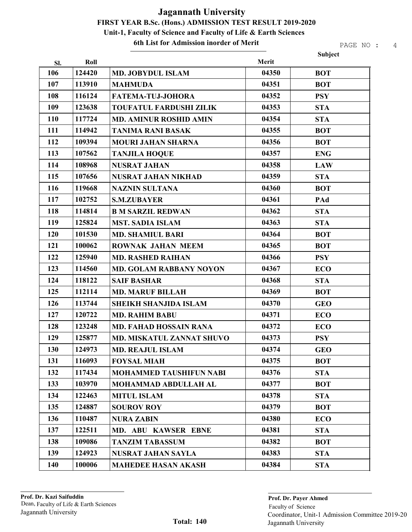6th List for Admission inorder of Merit

PAGE NO : 4

Subject

| SI.        | Roll   |                                  | Merit |            |
|------------|--------|----------------------------------|-------|------------|
| 106        | 124420 | <b>MD. JOBYDUL ISLAM</b>         | 04350 | <b>BOT</b> |
| 107        | 113910 | <b>MAHMUDA</b>                   | 04351 | <b>BOT</b> |
| 108        | 116124 | <b>FATEMA-TUJ-JOHORA</b>         | 04352 | <b>PSY</b> |
| 109        | 123638 | <b>TOUFATUL FARDUSHI ZILIK</b>   | 04353 | <b>STA</b> |
| <b>110</b> | 117724 | <b>MD. AMINUR ROSHID AMIN</b>    | 04354 | <b>STA</b> |
| 111        | 114942 | <b>TANIMA RANI BASAK</b>         | 04355 | <b>BOT</b> |
| 112        | 109394 | <b>MOURI JAHAN SHARNA</b>        | 04356 | <b>BOT</b> |
| 113        | 107562 | <b>TANJILA HOQUE</b>             | 04357 | <b>ENG</b> |
| 114        | 108968 | <b>NUSRAT JAHAN</b>              | 04358 | <b>LAW</b> |
| 115        | 107656 | <b>NUSRAT JAHAN NIKHAD</b>       | 04359 | <b>STA</b> |
| 116        | 119668 | <b>NAZNIN SULTANA</b>            | 04360 | <b>BOT</b> |
| 117        | 102752 | <b>S.M.ZUBAYER</b>               | 04361 | PAd        |
| 118        | 114814 | <b>B M SARZIL REDWAN</b>         | 04362 | <b>STA</b> |
| 119        | 125824 | <b>MST. SADIA ISLAM</b>          | 04363 | <b>STA</b> |
| 120        | 101530 | <b>MD. SHAMIUL BARI</b>          | 04364 | <b>BOT</b> |
| 121        | 100062 | <b>ROWNAK JAHAN MEEM</b>         | 04365 | <b>BOT</b> |
| 122        | 125940 | <b>MD. RASHED RAIHAN</b>         | 04366 | <b>PSY</b> |
| 123        | 114560 | <b>MD. GOLAM RABBANY NOYON</b>   | 04367 | <b>ECO</b> |
| 124        | 118122 | <b>SAIF BASHAR</b>               | 04368 | <b>STA</b> |
| 125        | 112114 | <b>MD. MARUF BILLAH</b>          | 04369 | <b>BOT</b> |
| 126        | 113744 | <b>SHEIKH SHANJIDA ISLAM</b>     | 04370 | <b>GEO</b> |
| 127        | 120722 | <b>MD. RAHIM BABU</b>            | 04371 | <b>ECO</b> |
| 128        | 123248 | <b>MD. FAHAD HOSSAIN RANA</b>    | 04372 | <b>ECO</b> |
| 129        | 125877 | <b>MD. MISKATUL ZANNAT SHUVO</b> | 04373 | <b>PSY</b> |
| 130        | 124973 | <b>MD. REAJUL ISLAM</b>          | 04374 | <b>GEO</b> |
| 131        | 116093 | <b>FOYSAL MIAH</b>               | 04375 | <b>BOT</b> |
| 132        | 117434 | <b>MOHAMMED TAUSHIFUN NABI</b>   | 04376 | <b>STA</b> |
| 133        | 103970 | <b>MOHAMMAD ABDULLAH AL</b>      | 04377 | <b>BOT</b> |
| 134        | 122463 | <b>MITUL ISLAM</b>               | 04378 | <b>STA</b> |
| 135        | 124887 | <b>SOUROV ROY</b>                | 04379 | <b>BOT</b> |
| 136        | 110487 | <b>NURA ZABIN</b>                | 04380 | <b>ECO</b> |
| 137        | 122511 | MD. ABU KAWSER EBNE              | 04381 | <b>STA</b> |
| 138        | 109086 | <b>TANZIM TABASSUM</b>           | 04382 | <b>BOT</b> |
| 139        | 124923 | <b>NUSRAT JAHAN SAYLA</b>        | 04383 | <b>STA</b> |
| 140        | 100006 | <b>MAHEDEE HASAN AKASH</b>       | 04384 | <b>STA</b> |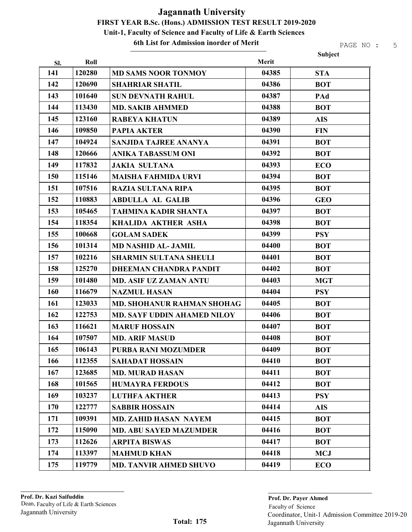6th List for Admission inorder of Merit

|     |        |                                    |       | Subject    |
|-----|--------|------------------------------------|-------|------------|
| SI. | Roll   |                                    | Merit |            |
| 141 | 120280 | <b>MD SAMS NOOR TONMOY</b>         | 04385 | <b>STA</b> |
| 142 | 120690 | <b>SHAHRIAR SHATIL</b>             | 04386 | <b>BOT</b> |
| 143 | 101640 | <b>SUN DEVNATH RAHUL</b>           | 04387 | PAd        |
| 144 | 113430 | <b>MD. SAKIB AHMMED</b>            | 04388 | <b>BOT</b> |
| 145 | 123160 | <b>RABEYA KHATUN</b>               | 04389 | <b>AIS</b> |
| 146 | 109850 | <b>PAPIA AKTER</b>                 | 04390 | <b>FIN</b> |
| 147 | 104924 | <b>SANJIDA TAJREE ANANYA</b>       | 04391 | <b>BOT</b> |
| 148 | 120666 | <b>ANIKA TABASSUM ONI</b>          | 04392 | <b>BOT</b> |
| 149 | 117832 | <b>JAKIA SULTANA</b>               | 04393 | <b>ECO</b> |
| 150 | 115146 | <b>MAISHA FAHMIDA URVI</b>         | 04394 | <b>BOT</b> |
| 151 | 107516 | <b>RAZIA SULTANA RIPA</b>          | 04395 | <b>BOT</b> |
| 152 | 110883 | <b>ABDULLA AL GALIB</b>            | 04396 | <b>GEO</b> |
| 153 | 105465 | <b>TAHMINA KADIR SHANTA</b>        | 04397 | <b>BOT</b> |
| 154 | 118354 | <b>KHALIDA AKTHER ASHA</b>         | 04398 | <b>BOT</b> |
| 155 | 100668 | <b>GOLAM SADEK</b>                 | 04399 | <b>PSY</b> |
| 156 | 101314 | <b>MD NASHID AL- JAMIL</b>         | 04400 | <b>BOT</b> |
| 157 | 102216 | <b>SHARMIN SULTANA SHEULI</b>      | 04401 | <b>BOT</b> |
| 158 | 125270 | <b>DHEEMAN CHANDRA PANDIT</b>      | 04402 | <b>BOT</b> |
| 159 | 101480 | <b>MD. ASIF UZ ZAMAN ANTU</b>      | 04403 | <b>MGT</b> |
| 160 | 116679 | <b>NAZMUL HASAN</b>                | 04404 | <b>PSY</b> |
| 161 | 123033 | MD. SHOHANUR RAHMAN SHOHAG         | 04405 | <b>BOT</b> |
| 162 | 122753 | <b>MD. SAYF UDDIN AHAMED NILOY</b> | 04406 | <b>BOT</b> |
| 163 | 116621 | <b>MARUF HOSSAIN</b>               | 04407 | <b>BOT</b> |
| 164 | 107507 | <b>MD. ARIF MASUD</b>              | 04408 | <b>BOT</b> |
| 165 | 106143 | <b>PURBA RANI MOZUMDER</b>         | 04409 | <b>BOT</b> |
| 166 | 112355 | <b>SAHADAT HOSSAIN</b>             | 04410 | <b>BOT</b> |
| 167 | 123685 | <b>MD. MURAD HASAN</b>             | 04411 | <b>BOT</b> |
| 168 | 101565 | <b>HUMAYRA FERDOUS</b>             | 04412 | <b>BOT</b> |
| 169 | 103237 | <b>LUTHFA AKTHER</b>               | 04413 | <b>PSY</b> |
| 170 | 122777 | <b>SABBIR HOSSAIN</b>              | 04414 | <b>AIS</b> |
| 171 | 109391 | <b>MD. ZAHID HASAN NAYEM</b>       | 04415 | <b>BOT</b> |
| 172 | 115090 | <b>MD. ABU SAYED MAZUMDER</b>      | 04416 | <b>BOT</b> |
| 173 | 112626 | <b>ARPITA BISWAS</b>               | 04417 | <b>BOT</b> |
| 174 | 113397 | <b>MAHMUD KHAN</b>                 | 04418 | <b>MCJ</b> |
| 175 | 119779 | <b>MD. TANVIR AHMED SHUVO</b>      | 04419 | ECO        |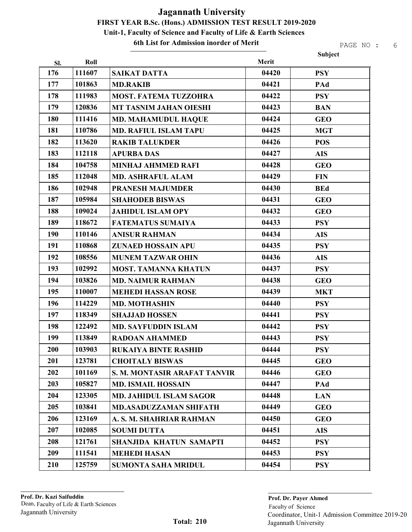#### 6th List for Admission inorder of Merit

| Merit<br>Roll<br>SI.<br>176<br>111607<br>04420<br><b>SAIKAT DATTA</b><br><b>PSY</b><br>177<br>101863<br>04421<br><b>MD.RAKIB</b><br>PAd<br>178<br>04422<br>111983<br><b>MOST. FATEMA TUZZOHRA</b><br><b>PSY</b><br>179<br>120836<br>04423<br>MT TASNIM JAHAN OIESHI<br><b>BAN</b><br>180<br>111416<br>04424<br><b>MD. MAHAMUDUL HAQUE</b><br><b>GEO</b><br>181<br>110786<br>04425<br><b>MD. RAFIUL ISLAM TAPU</b><br><b>MGT</b><br>182<br>113620<br>04426<br><b>RAKIB TALUKDER</b><br><b>POS</b><br>183<br>04427<br>112118<br><b>APURBA DAS</b><br><b>AIS</b><br>184<br>104758<br>04428<br><b>MINHAJ AHMMED RAFI</b><br><b>GEO</b><br>185<br>04429<br>112048<br><b>FIN</b><br><b>MD. ASHRAFUL ALAM</b><br>186<br>102948<br>04430<br><b>PRANESH MAJUMDER</b><br><b>BEd</b><br>187<br>105984<br>04431<br><b>GEO</b><br><b>SHAHODEB BISWAS</b><br>188<br>04432<br>109024<br><b>JAHIDUL ISLAM OPY</b><br><b>GEO</b><br>189<br>118672<br>04433<br><b>FATEMATUS SUMAIYA</b><br><b>PSY</b><br>190<br>04434<br>110146<br><b>ANISUR RAHMAN</b><br><b>AIS</b><br>191<br>110868<br>04435<br>ZUNAED HOSSAIN APU<br><b>PSY</b><br>192<br>108556<br>04436<br><b>MUNEM TAZWAR OHIN</b><br><b>AIS</b><br>193<br>102992<br>04437<br><b>PSY</b><br><b>MOST. TAMANNA KHATUN</b><br>194<br>103826<br>04438<br><b>MD. NAIMUR RAHMAN</b><br><b>GEO</b><br>195<br>110007<br>04439<br><b>MEHEDI HASSAN ROSE</b><br><b>MKT</b><br>196<br>04440<br>114229<br><b>MD. MOTHASHIN</b><br><b>PSY</b><br>197<br>118349<br>04441<br><b>SHAJJAD HOSSEN</b><br><b>PSY</b><br>198<br>04442<br>122492<br><b>MD. SAYFUDDIN ISLAM</b><br><b>PSY</b><br>04443<br>199<br>113849<br><b>RADOAN AHAMMED</b><br><b>PSY</b><br>200<br>103903<br>04444<br><b>PSY</b><br>RUKAIYA BINTE RASHID<br>201<br>123781<br>04445<br><b>CHOITALY BISWAS</b><br><b>GEO</b><br>202<br>101169<br>04446<br><b>S. M. MONTASIR ARAFAT TANVIR</b><br><b>GEO</b><br>203<br>105827<br>04447<br><b>MD. ISMAIL HOSSAIN</b><br>PAd<br>204<br>123305<br>04448<br><b>MD. JAHIDUL ISLAM SAGOR</b><br><b>LAN</b><br>205<br>103841<br>04449<br><b>MD.ASADUZZAMAN SHIFATH</b><br><b>GEO</b><br>206<br>123169<br>04450<br>A. S. M. SHAHRIAR RAHMAN<br><b>GEO</b><br>207<br>102085<br>04451<br><b>SOUMI DUTTA</b><br><b>AIS</b><br>208<br>121761<br>04452<br>SHANJIDA KHATUN SAMAPTI<br><b>PSY</b><br>209<br>111541<br>04453<br><b>MEHEDI HASAN</b><br><b>PSY</b><br>210<br>125759<br>04454<br><b>SUMONTA SAHA MRIDUL</b><br><b>PSY</b> |  |  | <b>Subject</b> |
|-----------------------------------------------------------------------------------------------------------------------------------------------------------------------------------------------------------------------------------------------------------------------------------------------------------------------------------------------------------------------------------------------------------------------------------------------------------------------------------------------------------------------------------------------------------------------------------------------------------------------------------------------------------------------------------------------------------------------------------------------------------------------------------------------------------------------------------------------------------------------------------------------------------------------------------------------------------------------------------------------------------------------------------------------------------------------------------------------------------------------------------------------------------------------------------------------------------------------------------------------------------------------------------------------------------------------------------------------------------------------------------------------------------------------------------------------------------------------------------------------------------------------------------------------------------------------------------------------------------------------------------------------------------------------------------------------------------------------------------------------------------------------------------------------------------------------------------------------------------------------------------------------------------------------------------------------------------------------------------------------------------------------------------------------------------------------------------------------------------------------------------------------------------------------------------------------------------------------------------------------------------------------------------------------------------------------------------------------------------------------------------------------------------------------------------------------------------|--|--|----------------|
|                                                                                                                                                                                                                                                                                                                                                                                                                                                                                                                                                                                                                                                                                                                                                                                                                                                                                                                                                                                                                                                                                                                                                                                                                                                                                                                                                                                                                                                                                                                                                                                                                                                                                                                                                                                                                                                                                                                                                                                                                                                                                                                                                                                                                                                                                                                                                                                                                                                           |  |  |                |
|                                                                                                                                                                                                                                                                                                                                                                                                                                                                                                                                                                                                                                                                                                                                                                                                                                                                                                                                                                                                                                                                                                                                                                                                                                                                                                                                                                                                                                                                                                                                                                                                                                                                                                                                                                                                                                                                                                                                                                                                                                                                                                                                                                                                                                                                                                                                                                                                                                                           |  |  |                |
|                                                                                                                                                                                                                                                                                                                                                                                                                                                                                                                                                                                                                                                                                                                                                                                                                                                                                                                                                                                                                                                                                                                                                                                                                                                                                                                                                                                                                                                                                                                                                                                                                                                                                                                                                                                                                                                                                                                                                                                                                                                                                                                                                                                                                                                                                                                                                                                                                                                           |  |  |                |
|                                                                                                                                                                                                                                                                                                                                                                                                                                                                                                                                                                                                                                                                                                                                                                                                                                                                                                                                                                                                                                                                                                                                                                                                                                                                                                                                                                                                                                                                                                                                                                                                                                                                                                                                                                                                                                                                                                                                                                                                                                                                                                                                                                                                                                                                                                                                                                                                                                                           |  |  |                |
|                                                                                                                                                                                                                                                                                                                                                                                                                                                                                                                                                                                                                                                                                                                                                                                                                                                                                                                                                                                                                                                                                                                                                                                                                                                                                                                                                                                                                                                                                                                                                                                                                                                                                                                                                                                                                                                                                                                                                                                                                                                                                                                                                                                                                                                                                                                                                                                                                                                           |  |  |                |
|                                                                                                                                                                                                                                                                                                                                                                                                                                                                                                                                                                                                                                                                                                                                                                                                                                                                                                                                                                                                                                                                                                                                                                                                                                                                                                                                                                                                                                                                                                                                                                                                                                                                                                                                                                                                                                                                                                                                                                                                                                                                                                                                                                                                                                                                                                                                                                                                                                                           |  |  |                |
|                                                                                                                                                                                                                                                                                                                                                                                                                                                                                                                                                                                                                                                                                                                                                                                                                                                                                                                                                                                                                                                                                                                                                                                                                                                                                                                                                                                                                                                                                                                                                                                                                                                                                                                                                                                                                                                                                                                                                                                                                                                                                                                                                                                                                                                                                                                                                                                                                                                           |  |  |                |
|                                                                                                                                                                                                                                                                                                                                                                                                                                                                                                                                                                                                                                                                                                                                                                                                                                                                                                                                                                                                                                                                                                                                                                                                                                                                                                                                                                                                                                                                                                                                                                                                                                                                                                                                                                                                                                                                                                                                                                                                                                                                                                                                                                                                                                                                                                                                                                                                                                                           |  |  |                |
|                                                                                                                                                                                                                                                                                                                                                                                                                                                                                                                                                                                                                                                                                                                                                                                                                                                                                                                                                                                                                                                                                                                                                                                                                                                                                                                                                                                                                                                                                                                                                                                                                                                                                                                                                                                                                                                                                                                                                                                                                                                                                                                                                                                                                                                                                                                                                                                                                                                           |  |  |                |
|                                                                                                                                                                                                                                                                                                                                                                                                                                                                                                                                                                                                                                                                                                                                                                                                                                                                                                                                                                                                                                                                                                                                                                                                                                                                                                                                                                                                                                                                                                                                                                                                                                                                                                                                                                                                                                                                                                                                                                                                                                                                                                                                                                                                                                                                                                                                                                                                                                                           |  |  |                |
|                                                                                                                                                                                                                                                                                                                                                                                                                                                                                                                                                                                                                                                                                                                                                                                                                                                                                                                                                                                                                                                                                                                                                                                                                                                                                                                                                                                                                                                                                                                                                                                                                                                                                                                                                                                                                                                                                                                                                                                                                                                                                                                                                                                                                                                                                                                                                                                                                                                           |  |  |                |
|                                                                                                                                                                                                                                                                                                                                                                                                                                                                                                                                                                                                                                                                                                                                                                                                                                                                                                                                                                                                                                                                                                                                                                                                                                                                                                                                                                                                                                                                                                                                                                                                                                                                                                                                                                                                                                                                                                                                                                                                                                                                                                                                                                                                                                                                                                                                                                                                                                                           |  |  |                |
|                                                                                                                                                                                                                                                                                                                                                                                                                                                                                                                                                                                                                                                                                                                                                                                                                                                                                                                                                                                                                                                                                                                                                                                                                                                                                                                                                                                                                                                                                                                                                                                                                                                                                                                                                                                                                                                                                                                                                                                                                                                                                                                                                                                                                                                                                                                                                                                                                                                           |  |  |                |
|                                                                                                                                                                                                                                                                                                                                                                                                                                                                                                                                                                                                                                                                                                                                                                                                                                                                                                                                                                                                                                                                                                                                                                                                                                                                                                                                                                                                                                                                                                                                                                                                                                                                                                                                                                                                                                                                                                                                                                                                                                                                                                                                                                                                                                                                                                                                                                                                                                                           |  |  |                |
|                                                                                                                                                                                                                                                                                                                                                                                                                                                                                                                                                                                                                                                                                                                                                                                                                                                                                                                                                                                                                                                                                                                                                                                                                                                                                                                                                                                                                                                                                                                                                                                                                                                                                                                                                                                                                                                                                                                                                                                                                                                                                                                                                                                                                                                                                                                                                                                                                                                           |  |  |                |
|                                                                                                                                                                                                                                                                                                                                                                                                                                                                                                                                                                                                                                                                                                                                                                                                                                                                                                                                                                                                                                                                                                                                                                                                                                                                                                                                                                                                                                                                                                                                                                                                                                                                                                                                                                                                                                                                                                                                                                                                                                                                                                                                                                                                                                                                                                                                                                                                                                                           |  |  |                |
|                                                                                                                                                                                                                                                                                                                                                                                                                                                                                                                                                                                                                                                                                                                                                                                                                                                                                                                                                                                                                                                                                                                                                                                                                                                                                                                                                                                                                                                                                                                                                                                                                                                                                                                                                                                                                                                                                                                                                                                                                                                                                                                                                                                                                                                                                                                                                                                                                                                           |  |  |                |
|                                                                                                                                                                                                                                                                                                                                                                                                                                                                                                                                                                                                                                                                                                                                                                                                                                                                                                                                                                                                                                                                                                                                                                                                                                                                                                                                                                                                                                                                                                                                                                                                                                                                                                                                                                                                                                                                                                                                                                                                                                                                                                                                                                                                                                                                                                                                                                                                                                                           |  |  |                |
|                                                                                                                                                                                                                                                                                                                                                                                                                                                                                                                                                                                                                                                                                                                                                                                                                                                                                                                                                                                                                                                                                                                                                                                                                                                                                                                                                                                                                                                                                                                                                                                                                                                                                                                                                                                                                                                                                                                                                                                                                                                                                                                                                                                                                                                                                                                                                                                                                                                           |  |  |                |
|                                                                                                                                                                                                                                                                                                                                                                                                                                                                                                                                                                                                                                                                                                                                                                                                                                                                                                                                                                                                                                                                                                                                                                                                                                                                                                                                                                                                                                                                                                                                                                                                                                                                                                                                                                                                                                                                                                                                                                                                                                                                                                                                                                                                                                                                                                                                                                                                                                                           |  |  |                |
|                                                                                                                                                                                                                                                                                                                                                                                                                                                                                                                                                                                                                                                                                                                                                                                                                                                                                                                                                                                                                                                                                                                                                                                                                                                                                                                                                                                                                                                                                                                                                                                                                                                                                                                                                                                                                                                                                                                                                                                                                                                                                                                                                                                                                                                                                                                                                                                                                                                           |  |  |                |
|                                                                                                                                                                                                                                                                                                                                                                                                                                                                                                                                                                                                                                                                                                                                                                                                                                                                                                                                                                                                                                                                                                                                                                                                                                                                                                                                                                                                                                                                                                                                                                                                                                                                                                                                                                                                                                                                                                                                                                                                                                                                                                                                                                                                                                                                                                                                                                                                                                                           |  |  |                |
|                                                                                                                                                                                                                                                                                                                                                                                                                                                                                                                                                                                                                                                                                                                                                                                                                                                                                                                                                                                                                                                                                                                                                                                                                                                                                                                                                                                                                                                                                                                                                                                                                                                                                                                                                                                                                                                                                                                                                                                                                                                                                                                                                                                                                                                                                                                                                                                                                                                           |  |  |                |
|                                                                                                                                                                                                                                                                                                                                                                                                                                                                                                                                                                                                                                                                                                                                                                                                                                                                                                                                                                                                                                                                                                                                                                                                                                                                                                                                                                                                                                                                                                                                                                                                                                                                                                                                                                                                                                                                                                                                                                                                                                                                                                                                                                                                                                                                                                                                                                                                                                                           |  |  |                |
|                                                                                                                                                                                                                                                                                                                                                                                                                                                                                                                                                                                                                                                                                                                                                                                                                                                                                                                                                                                                                                                                                                                                                                                                                                                                                                                                                                                                                                                                                                                                                                                                                                                                                                                                                                                                                                                                                                                                                                                                                                                                                                                                                                                                                                                                                                                                                                                                                                                           |  |  |                |
|                                                                                                                                                                                                                                                                                                                                                                                                                                                                                                                                                                                                                                                                                                                                                                                                                                                                                                                                                                                                                                                                                                                                                                                                                                                                                                                                                                                                                                                                                                                                                                                                                                                                                                                                                                                                                                                                                                                                                                                                                                                                                                                                                                                                                                                                                                                                                                                                                                                           |  |  |                |
|                                                                                                                                                                                                                                                                                                                                                                                                                                                                                                                                                                                                                                                                                                                                                                                                                                                                                                                                                                                                                                                                                                                                                                                                                                                                                                                                                                                                                                                                                                                                                                                                                                                                                                                                                                                                                                                                                                                                                                                                                                                                                                                                                                                                                                                                                                                                                                                                                                                           |  |  |                |
|                                                                                                                                                                                                                                                                                                                                                                                                                                                                                                                                                                                                                                                                                                                                                                                                                                                                                                                                                                                                                                                                                                                                                                                                                                                                                                                                                                                                                                                                                                                                                                                                                                                                                                                                                                                                                                                                                                                                                                                                                                                                                                                                                                                                                                                                                                                                                                                                                                                           |  |  |                |
|                                                                                                                                                                                                                                                                                                                                                                                                                                                                                                                                                                                                                                                                                                                                                                                                                                                                                                                                                                                                                                                                                                                                                                                                                                                                                                                                                                                                                                                                                                                                                                                                                                                                                                                                                                                                                                                                                                                                                                                                                                                                                                                                                                                                                                                                                                                                                                                                                                                           |  |  |                |
|                                                                                                                                                                                                                                                                                                                                                                                                                                                                                                                                                                                                                                                                                                                                                                                                                                                                                                                                                                                                                                                                                                                                                                                                                                                                                                                                                                                                                                                                                                                                                                                                                                                                                                                                                                                                                                                                                                                                                                                                                                                                                                                                                                                                                                                                                                                                                                                                                                                           |  |  |                |
|                                                                                                                                                                                                                                                                                                                                                                                                                                                                                                                                                                                                                                                                                                                                                                                                                                                                                                                                                                                                                                                                                                                                                                                                                                                                                                                                                                                                                                                                                                                                                                                                                                                                                                                                                                                                                                                                                                                                                                                                                                                                                                                                                                                                                                                                                                                                                                                                                                                           |  |  |                |
|                                                                                                                                                                                                                                                                                                                                                                                                                                                                                                                                                                                                                                                                                                                                                                                                                                                                                                                                                                                                                                                                                                                                                                                                                                                                                                                                                                                                                                                                                                                                                                                                                                                                                                                                                                                                                                                                                                                                                                                                                                                                                                                                                                                                                                                                                                                                                                                                                                                           |  |  |                |
|                                                                                                                                                                                                                                                                                                                                                                                                                                                                                                                                                                                                                                                                                                                                                                                                                                                                                                                                                                                                                                                                                                                                                                                                                                                                                                                                                                                                                                                                                                                                                                                                                                                                                                                                                                                                                                                                                                                                                                                                                                                                                                                                                                                                                                                                                                                                                                                                                                                           |  |  |                |
|                                                                                                                                                                                                                                                                                                                                                                                                                                                                                                                                                                                                                                                                                                                                                                                                                                                                                                                                                                                                                                                                                                                                                                                                                                                                                                                                                                                                                                                                                                                                                                                                                                                                                                                                                                                                                                                                                                                                                                                                                                                                                                                                                                                                                                                                                                                                                                                                                                                           |  |  |                |
|                                                                                                                                                                                                                                                                                                                                                                                                                                                                                                                                                                                                                                                                                                                                                                                                                                                                                                                                                                                                                                                                                                                                                                                                                                                                                                                                                                                                                                                                                                                                                                                                                                                                                                                                                                                                                                                                                                                                                                                                                                                                                                                                                                                                                                                                                                                                                                                                                                                           |  |  |                |
|                                                                                                                                                                                                                                                                                                                                                                                                                                                                                                                                                                                                                                                                                                                                                                                                                                                                                                                                                                                                                                                                                                                                                                                                                                                                                                                                                                                                                                                                                                                                                                                                                                                                                                                                                                                                                                                                                                                                                                                                                                                                                                                                                                                                                                                                                                                                                                                                                                                           |  |  |                |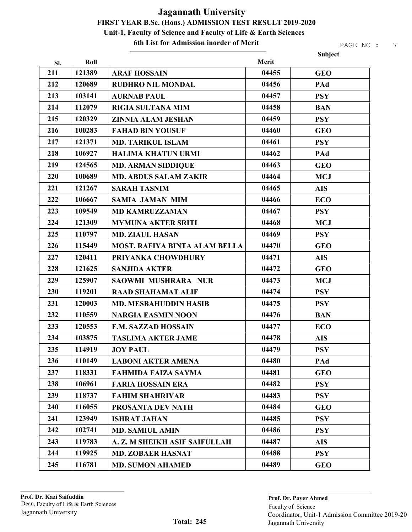6th List for Admission inorder of Merit

|     |        |                                      |       | Subject    |
|-----|--------|--------------------------------------|-------|------------|
| Sl. | Roll   |                                      | Merit |            |
| 211 | 121389 | <b>ARAF HOSSAIN</b>                  | 04455 | <b>GEO</b> |
| 212 | 120689 | <b>RUDHRO NIL MONDAL</b>             | 04456 | PAd        |
| 213 | 103141 | <b>AURNAB PAUL</b>                   | 04457 | <b>PSY</b> |
| 214 | 112079 | <b>RIGIA SULTANA MIM</b>             | 04458 | <b>BAN</b> |
| 215 | 120329 | <b>ZINNIA ALAM JESHAN</b>            | 04459 | <b>PSY</b> |
| 216 | 100283 | <b>FAHAD BIN YOUSUF</b>              | 04460 | <b>GEO</b> |
| 217 | 121371 | <b>MD. TARIKUL ISLAM</b>             | 04461 | <b>PSY</b> |
| 218 | 106927 | <b>HALIMA KHATUN URMI</b>            | 04462 | PAd        |
| 219 | 124565 | <b>MD. ARMAN SIDDIQUE</b>            | 04463 | <b>GEO</b> |
| 220 | 100689 | <b>MD. ABDUS SALAM ZAKIR</b>         | 04464 | <b>MCJ</b> |
| 221 | 121267 | <b>SARAH TASNIM</b>                  | 04465 | <b>AIS</b> |
| 222 | 106667 | <b>SAMIA JAMAN MIM</b>               | 04466 | <b>ECO</b> |
| 223 | 109549 | <b>MD KAMRUZZAMAN</b>                | 04467 | <b>PSY</b> |
| 224 | 121309 | <b>MYMUNA AKTER SRITI</b>            | 04468 | <b>MCJ</b> |
| 225 | 110797 | <b>MD. ZIAUL HASAN</b>               | 04469 | <b>PSY</b> |
| 226 | 115449 | <b>MOST. RAFIYA BINTA ALAM BELLA</b> | 04470 | <b>GEO</b> |
| 227 | 120411 | PRIYANKA CHOWDHURY                   | 04471 | <b>AIS</b> |
| 228 | 121625 | <b>SANJIDA AKTER</b>                 | 04472 | <b>GEO</b> |
| 229 | 125907 | <b>SAOWMI MUSHRARA NUR</b>           | 04473 | <b>MCJ</b> |
| 230 | 119201 | <b>RAAD SHAHAMAT ALIF</b>            | 04474 | <b>PSY</b> |
| 231 | 120003 | <b>MD. MESBAHUDDIN HASIB</b>         | 04475 | <b>PSY</b> |
| 232 | 110559 | <b>NARGIA EASMIN NOON</b>            | 04476 | <b>BAN</b> |
| 233 | 120553 | <b>F.M. SAZZAD HOSSAIN</b>           | 04477 | <b>ECO</b> |
| 234 | 103875 | <b>TASLIMA AKTER JAME</b>            | 04478 | <b>AIS</b> |
| 235 | 114919 | <b>JOY PAUL</b>                      | 04479 | <b>PSY</b> |
| 236 | 110149 | <b>LABONI AKTER AMENA</b>            | 04480 | PAd        |
| 237 | 118331 | FAHMIDA FAIZA SAYMA                  | 04481 | <b>GEO</b> |
| 238 | 106961 | <b>FARIA HOSSAIN ERA</b>             | 04482 | <b>PSY</b> |
| 239 | 118737 | <b>FAHIM SHAHRIYAR</b>               | 04483 | <b>PSY</b> |
| 240 | 116055 | PROSANTA DEV NATH                    | 04484 | <b>GEO</b> |
| 241 | 123949 | <b>ISHRAT JAHAN</b>                  | 04485 | <b>PSY</b> |
| 242 | 102741 | <b>MD. SAMIUL AMIN</b>               | 04486 | <b>PSY</b> |
| 243 | 119783 | A. Z. M SHEIKH ASIF SAIFULLAH        | 04487 | <b>AIS</b> |
| 244 | 119925 | <b>MD. ZOBAER HASNAT</b>             | 04488 | <b>PSY</b> |
| 245 | 116781 | <b>MD. SUMON AHAMED</b>              | 04489 | <b>GEO</b> |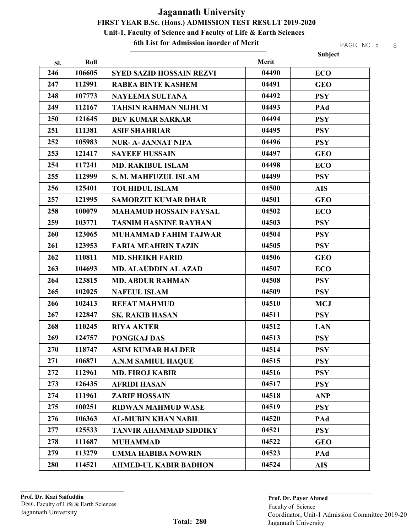6th List for Admission inorder of Merit

|     |        |                                 |       | Subject    |
|-----|--------|---------------------------------|-------|------------|
| SI. | Roll   |                                 | Merit |            |
| 246 | 106605 | <b>SYED SAZID HOSSAIN REZVI</b> | 04490 | <b>ECO</b> |
| 247 | 112991 | <b>RABEA BINTE KASHEM</b>       | 04491 | <b>GEO</b> |
| 248 | 107773 | <b>NAYEEMA SULTANA</b>          | 04492 | <b>PSY</b> |
| 249 | 112167 | <b>TAHSIN RAHMAN NIJHUM</b>     | 04493 | PAd        |
| 250 | 121645 | <b>DEV KUMAR SARKAR</b>         | 04494 | <b>PSY</b> |
| 251 | 111381 | <b>ASIF SHAHRIAR</b>            | 04495 | <b>PSY</b> |
| 252 | 105983 | <b>NUR- A- JANNAT NIPA</b>      | 04496 | <b>PSY</b> |
| 253 | 121417 | <b>SAYEEF HUSSAIN</b>           | 04497 | <b>GEO</b> |
| 254 | 117241 | <b>MD. RAKIBUL ISLAM</b>        | 04498 | <b>ECO</b> |
| 255 | 112999 | S. M. MAHFUZUL ISLAM            | 04499 | <b>PSY</b> |
| 256 | 125401 | <b>TOUHIDUL ISLAM</b>           | 04500 | <b>AIS</b> |
| 257 | 121995 | <b>SAMORZIT KUMAR DHAR</b>      | 04501 | <b>GEO</b> |
| 258 | 100079 | <b>MAHAMUD HOSSAIN FAYSAL</b>   | 04502 | <b>ECO</b> |
| 259 | 103771 | <b>TASNIM HASNINE RAYHAN</b>    | 04503 | <b>PSY</b> |
| 260 | 123065 | <b>MUHAMMAD FAHIM TAJWAR</b>    | 04504 | <b>PSY</b> |
| 261 | 123953 | <b>FARIA MEAHRIN TAZIN</b>      | 04505 | <b>PSY</b> |
| 262 | 110811 | <b>MD. SHEIKH FARID</b>         | 04506 | <b>GEO</b> |
| 263 | 104693 | <b>MD. ALAUDDIN AL AZAD</b>     | 04507 | <b>ECO</b> |
| 264 | 123815 | <b>MD. ABDUR RAHMAN</b>         | 04508 | <b>PSY</b> |
| 265 | 102025 | <b>NAFEUL ISLAM</b>             | 04509 | <b>PSY</b> |
| 266 | 102413 | <b>REFAT MAHMUD</b>             | 04510 | <b>MCJ</b> |
| 267 | 122847 | <b>SK. RAKIB HASAN</b>          | 04511 | <b>PSY</b> |
| 268 | 110245 | <b>RIYA AKTER</b>               | 04512 | <b>LAN</b> |
| 269 | 124757 | PONGKAJ DAS                     | 04513 | <b>PSY</b> |
| 270 | 118747 | <b>ASIM KUMAR HALDER</b>        | 04514 | <b>PSY</b> |
| 271 | 106871 | <b>A.N.M SAMIUL HAQUE</b>       | 04515 | <b>PSY</b> |
| 272 | 112961 | <b>MD. FIROJ KABIR</b>          | 04516 | <b>PSY</b> |
| 273 | 126435 | <b>AFRIDI HASAN</b>             | 04517 | <b>PSY</b> |
| 274 | 111961 | <b>ZARIF HOSSAIN</b>            | 04518 | <b>ANP</b> |
| 275 | 100251 | <b>RIDWAN MAHMUD WASE</b>       | 04519 | <b>PSY</b> |
| 276 | 106363 | <b>AL-MUBIN KHAN NABIL</b>      | 04520 | PAd        |
| 277 | 125533 | <b>TANVIR AHAMMAD SIDDIKY</b>   | 04521 | <b>PSY</b> |
| 278 | 111687 | <b>MUHAMMAD</b>                 | 04522 | <b>GEO</b> |
| 279 | 113279 | <b>UMMA HABIBA NOWRIN</b>       | 04523 | PAd        |
| 280 | 114521 | <b>AHMED-UL KABIR BADHON</b>    | 04524 | <b>AIS</b> |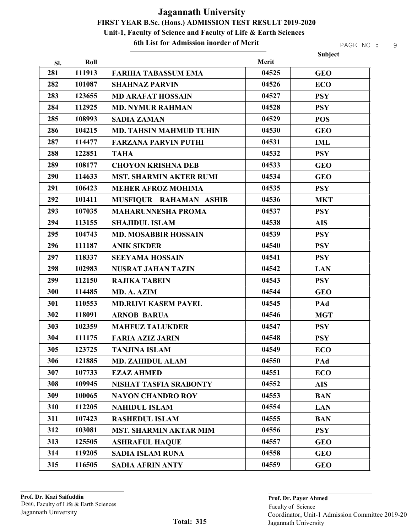#### 6th List for Admission inorder of Merit

|     |        |                                |       | Subject    |
|-----|--------|--------------------------------|-------|------------|
| Sl. | Roll   |                                | Merit |            |
| 281 | 111913 | <b>FARIHA TABASSUM EMA</b>     | 04525 | <b>GEO</b> |
| 282 | 101087 | <b>SHAHNAZ PARVIN</b>          | 04526 | <b>ECO</b> |
| 283 | 123655 | <b>MD ARAFAT HOSSAIN</b>       | 04527 | <b>PSY</b> |
| 284 | 112925 | <b>MD. NYMUR RAHMAN</b>        | 04528 | <b>PSY</b> |
| 285 | 108993 | <b>SADIA ZAMAN</b>             | 04529 | <b>POS</b> |
| 286 | 104215 | <b>MD. TAHSIN MAHMUD TUHIN</b> | 04530 | <b>GEO</b> |
| 287 | 114477 | <b>FARZANA PARVIN PUTHI</b>    | 04531 | <b>IML</b> |
| 288 | 122851 | <b>TAHA</b>                    | 04532 | <b>PSY</b> |
| 289 | 108177 | <b>CHOYON KRISHNA DEB</b>      | 04533 | <b>GEO</b> |
| 290 | 114633 | <b>MST. SHARMIN AKTER RUMI</b> | 04534 | <b>GEO</b> |
| 291 | 106423 | <b>MEHER AFROZ MOHIMA</b>      | 04535 | <b>PSY</b> |
| 292 | 101411 | MUSFIQUR RAHAMAN ASHIB         | 04536 | <b>MKT</b> |
| 293 | 107035 | <b>MAHARUNNESHA PROMA</b>      | 04537 | <b>PSY</b> |
| 294 | 113155 | <b>SHAJIDUL ISLAM</b>          | 04538 | <b>AIS</b> |
| 295 | 104743 | <b>MD. MOSABBIR HOSSAIN</b>    | 04539 | <b>PSY</b> |
| 296 | 111187 | <b>ANIK SIKDER</b>             | 04540 | <b>PSY</b> |
| 297 | 118337 | <b>SEEYAMA HOSSAIN</b>         | 04541 | <b>PSY</b> |
| 298 | 102983 | <b>NUSRAT JAHAN TAZIN</b>      | 04542 | <b>LAN</b> |
| 299 | 112150 | <b>RAJIKA TABEIN</b>           | 04543 | <b>PSY</b> |
| 300 | 114485 | MD. A. AZIM                    | 04544 | <b>GEO</b> |
| 301 | 110553 | <b>MD.RIJVI KASEM PAYEL</b>    | 04545 | PAd        |
| 302 | 118091 | <b>ARNOB BARUA</b>             | 04546 | <b>MGT</b> |
| 303 | 102359 | <b>MAHFUZ TALUKDER</b>         | 04547 | <b>PSY</b> |
| 304 | 111175 | <b>FARIA AZIZ JARIN</b>        | 04548 | <b>PSY</b> |
| 305 | 123725 | <b>TANJINA ISLAM</b>           | 04549 | <b>ECO</b> |
| 306 | 121885 | <b>MD. ZAHIDUL ALAM</b>        | 04550 | PAd        |
| 307 | 107733 | <b>EZAZ AHMED</b>              | 04551 | <b>ECO</b> |
| 308 | 109945 | <b>NISHAT TASFIA SRABONTY</b>  | 04552 | <b>AIS</b> |
| 309 | 100065 | <b>NAYON CHANDRO ROY</b>       | 04553 | <b>BAN</b> |
| 310 | 112205 | <b>NAHIDUL ISLAM</b>           | 04554 | <b>LAN</b> |
| 311 | 107423 | <b>RASHEDUL ISLAM</b>          | 04555 | <b>BAN</b> |
| 312 | 103081 | <b>MST. SHARMIN AKTAR MIM</b>  | 04556 | <b>PSY</b> |
| 313 | 125505 | <b>ASHRAFUL HAQUE</b>          | 04557 | <b>GEO</b> |
| 314 | 119205 | <b>SADIA ISLAM RUNA</b>        | 04558 | <b>GEO</b> |
| 315 | 116505 | <b>SADIA AFRIN ANTY</b>        | 04559 | <b>GEO</b> |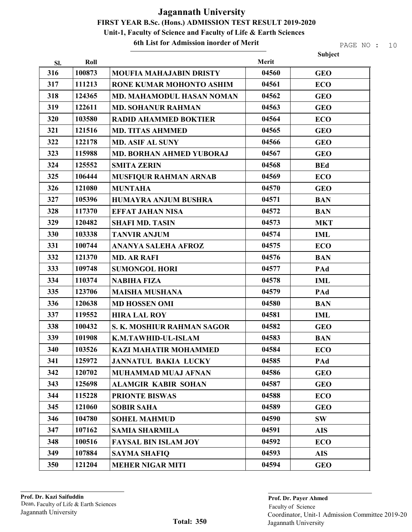#### 6th List for Admission inorder of Merit

| Merit<br>Roll<br>SI.<br>316<br>100873<br><b>GEO</b><br><b>MOUFIA MAHAJABIN DRISTY</b><br>04560<br>317<br>111213<br>04561<br>RONE KUMAR MOHONTO ASHIM<br><b>ECO</b><br>318<br>124365<br>04562<br>MD. MAHAMODUL HASAN NOMAN<br><b>GEO</b><br>319<br>122611<br>04563<br><b>MD. SOHANUR RAHMAN</b><br><b>GEO</b><br>320<br>103580<br>04564<br><b>ECO</b><br><b>RADID AHAMMED BOKTIER</b><br>321<br>121516<br>04565<br><b>MD. TITAS AHMMED</b><br><b>GEO</b><br>322<br>122178<br>04566<br><b>MD. ASIF AL SUNY</b><br><b>GEO</b><br>323<br>115988<br>04567<br>MD. BORHAN AHMED YUBORAJ<br><b>GEO</b><br>324<br>125552<br>04568<br><b>SMITA ZERIN</b><br><b>BEd</b><br>325<br>106444<br>04569<br><b>MUSFIQUR RAHMAN ARNAB</b><br><b>ECO</b><br>326<br>121080<br><b>MUNTAHA</b><br>04570<br><b>GEO</b><br>327<br>105396<br>04571<br><b>HUMAYRA ANJUM BUSHRA</b><br><b>BAN</b><br>328<br>04572<br>117370<br><b>EFFAT JAHAN NISA</b><br><b>BAN</b><br>329<br>120482<br>04573<br><b>SHAFI MD. TASIN</b><br><b>MKT</b><br>330<br>04574<br>103338<br><b>TANVIR ANJUM</b><br><b>IML</b><br>331<br>100744<br>04575<br><b>ANANYA SALEHA AFROZ</b><br><b>ECO</b><br>332<br>04576<br>121370<br><b>MD. AR RAFI</b><br><b>BAN</b><br>333<br>109748<br>04577<br>PAd<br><b>SUMONGOL HORI</b><br>334<br>110374<br>04578<br><b>NABIHA FIZA</b><br><b>IML</b><br>335<br>123706<br>04579<br><b>MAISHA MUSHANA</b><br>PAd<br>336<br>120638<br>04580<br><b>BAN</b><br><b>MD HOSSEN OMI</b><br>337<br>119552<br><b>HIRA LAL ROY</b><br>04581<br><b>IML</b><br>338<br>100432<br>04582<br>S. K. MOSHIUR RAHMAN SAGOR<br><b>GEO</b><br>339<br>101908<br>04583<br>K.M.TAWHID-UL-ISLAM<br><b>BAN</b><br>340<br>103526<br>04584<br>KAZI MAHATIR MOHAMMED<br>ECO<br>341<br>125972<br>04585<br><b>JANNATUL BAKIA LUCKY</b><br>PAd<br>342<br>120702<br>04586<br><b>GEO</b><br><b>MUHAMMAD MUAJ AFNAN</b><br>343<br>125698<br>04587<br><b>GEO</b><br><b>ALAMGIR KABIR SOHAN</b><br>344<br>115228<br>04588<br><b>PRIONTE BISWAS</b><br><b>ECO</b><br>345<br>121060<br>04589<br><b>SOBIR SAHA</b><br><b>GEO</b><br>346<br>104780<br><b>SOHEL MAHMUD</b><br>04590<br><b>SW</b><br>347<br>107162<br>04591<br><b>SAMIA SHARMILA</b><br><b>AIS</b><br>348<br>100516<br>04592<br><b>FAYSAL BIN ISLAM JOY</b><br><b>ECO</b><br>349<br>107884<br>04593<br><b>SAYMA SHAFIQ</b><br><b>AIS</b> |     |        |                         |       | Subject    |
|---------------------------------------------------------------------------------------------------------------------------------------------------------------------------------------------------------------------------------------------------------------------------------------------------------------------------------------------------------------------------------------------------------------------------------------------------------------------------------------------------------------------------------------------------------------------------------------------------------------------------------------------------------------------------------------------------------------------------------------------------------------------------------------------------------------------------------------------------------------------------------------------------------------------------------------------------------------------------------------------------------------------------------------------------------------------------------------------------------------------------------------------------------------------------------------------------------------------------------------------------------------------------------------------------------------------------------------------------------------------------------------------------------------------------------------------------------------------------------------------------------------------------------------------------------------------------------------------------------------------------------------------------------------------------------------------------------------------------------------------------------------------------------------------------------------------------------------------------------------------------------------------------------------------------------------------------------------------------------------------------------------------------------------------------------------------------------------------------------------------------------------------------------------------------------------------------------------------------------------------------------------------------------------------------------------------------------------------|-----|--------|-------------------------|-------|------------|
|                                                                                                                                                                                                                                                                                                                                                                                                                                                                                                                                                                                                                                                                                                                                                                                                                                                                                                                                                                                                                                                                                                                                                                                                                                                                                                                                                                                                                                                                                                                                                                                                                                                                                                                                                                                                                                                                                                                                                                                                                                                                                                                                                                                                                                                                                                                                             |     |        |                         |       |            |
|                                                                                                                                                                                                                                                                                                                                                                                                                                                                                                                                                                                                                                                                                                                                                                                                                                                                                                                                                                                                                                                                                                                                                                                                                                                                                                                                                                                                                                                                                                                                                                                                                                                                                                                                                                                                                                                                                                                                                                                                                                                                                                                                                                                                                                                                                                                                             |     |        |                         |       |            |
|                                                                                                                                                                                                                                                                                                                                                                                                                                                                                                                                                                                                                                                                                                                                                                                                                                                                                                                                                                                                                                                                                                                                                                                                                                                                                                                                                                                                                                                                                                                                                                                                                                                                                                                                                                                                                                                                                                                                                                                                                                                                                                                                                                                                                                                                                                                                             |     |        |                         |       |            |
|                                                                                                                                                                                                                                                                                                                                                                                                                                                                                                                                                                                                                                                                                                                                                                                                                                                                                                                                                                                                                                                                                                                                                                                                                                                                                                                                                                                                                                                                                                                                                                                                                                                                                                                                                                                                                                                                                                                                                                                                                                                                                                                                                                                                                                                                                                                                             |     |        |                         |       |            |
|                                                                                                                                                                                                                                                                                                                                                                                                                                                                                                                                                                                                                                                                                                                                                                                                                                                                                                                                                                                                                                                                                                                                                                                                                                                                                                                                                                                                                                                                                                                                                                                                                                                                                                                                                                                                                                                                                                                                                                                                                                                                                                                                                                                                                                                                                                                                             |     |        |                         |       |            |
|                                                                                                                                                                                                                                                                                                                                                                                                                                                                                                                                                                                                                                                                                                                                                                                                                                                                                                                                                                                                                                                                                                                                                                                                                                                                                                                                                                                                                                                                                                                                                                                                                                                                                                                                                                                                                                                                                                                                                                                                                                                                                                                                                                                                                                                                                                                                             |     |        |                         |       |            |
|                                                                                                                                                                                                                                                                                                                                                                                                                                                                                                                                                                                                                                                                                                                                                                                                                                                                                                                                                                                                                                                                                                                                                                                                                                                                                                                                                                                                                                                                                                                                                                                                                                                                                                                                                                                                                                                                                                                                                                                                                                                                                                                                                                                                                                                                                                                                             |     |        |                         |       |            |
|                                                                                                                                                                                                                                                                                                                                                                                                                                                                                                                                                                                                                                                                                                                                                                                                                                                                                                                                                                                                                                                                                                                                                                                                                                                                                                                                                                                                                                                                                                                                                                                                                                                                                                                                                                                                                                                                                                                                                                                                                                                                                                                                                                                                                                                                                                                                             |     |        |                         |       |            |
|                                                                                                                                                                                                                                                                                                                                                                                                                                                                                                                                                                                                                                                                                                                                                                                                                                                                                                                                                                                                                                                                                                                                                                                                                                                                                                                                                                                                                                                                                                                                                                                                                                                                                                                                                                                                                                                                                                                                                                                                                                                                                                                                                                                                                                                                                                                                             |     |        |                         |       |            |
|                                                                                                                                                                                                                                                                                                                                                                                                                                                                                                                                                                                                                                                                                                                                                                                                                                                                                                                                                                                                                                                                                                                                                                                                                                                                                                                                                                                                                                                                                                                                                                                                                                                                                                                                                                                                                                                                                                                                                                                                                                                                                                                                                                                                                                                                                                                                             |     |        |                         |       |            |
|                                                                                                                                                                                                                                                                                                                                                                                                                                                                                                                                                                                                                                                                                                                                                                                                                                                                                                                                                                                                                                                                                                                                                                                                                                                                                                                                                                                                                                                                                                                                                                                                                                                                                                                                                                                                                                                                                                                                                                                                                                                                                                                                                                                                                                                                                                                                             |     |        |                         |       |            |
|                                                                                                                                                                                                                                                                                                                                                                                                                                                                                                                                                                                                                                                                                                                                                                                                                                                                                                                                                                                                                                                                                                                                                                                                                                                                                                                                                                                                                                                                                                                                                                                                                                                                                                                                                                                                                                                                                                                                                                                                                                                                                                                                                                                                                                                                                                                                             |     |        |                         |       |            |
|                                                                                                                                                                                                                                                                                                                                                                                                                                                                                                                                                                                                                                                                                                                                                                                                                                                                                                                                                                                                                                                                                                                                                                                                                                                                                                                                                                                                                                                                                                                                                                                                                                                                                                                                                                                                                                                                                                                                                                                                                                                                                                                                                                                                                                                                                                                                             |     |        |                         |       |            |
|                                                                                                                                                                                                                                                                                                                                                                                                                                                                                                                                                                                                                                                                                                                                                                                                                                                                                                                                                                                                                                                                                                                                                                                                                                                                                                                                                                                                                                                                                                                                                                                                                                                                                                                                                                                                                                                                                                                                                                                                                                                                                                                                                                                                                                                                                                                                             |     |        |                         |       |            |
|                                                                                                                                                                                                                                                                                                                                                                                                                                                                                                                                                                                                                                                                                                                                                                                                                                                                                                                                                                                                                                                                                                                                                                                                                                                                                                                                                                                                                                                                                                                                                                                                                                                                                                                                                                                                                                                                                                                                                                                                                                                                                                                                                                                                                                                                                                                                             |     |        |                         |       |            |
|                                                                                                                                                                                                                                                                                                                                                                                                                                                                                                                                                                                                                                                                                                                                                                                                                                                                                                                                                                                                                                                                                                                                                                                                                                                                                                                                                                                                                                                                                                                                                                                                                                                                                                                                                                                                                                                                                                                                                                                                                                                                                                                                                                                                                                                                                                                                             |     |        |                         |       |            |
|                                                                                                                                                                                                                                                                                                                                                                                                                                                                                                                                                                                                                                                                                                                                                                                                                                                                                                                                                                                                                                                                                                                                                                                                                                                                                                                                                                                                                                                                                                                                                                                                                                                                                                                                                                                                                                                                                                                                                                                                                                                                                                                                                                                                                                                                                                                                             |     |        |                         |       |            |
|                                                                                                                                                                                                                                                                                                                                                                                                                                                                                                                                                                                                                                                                                                                                                                                                                                                                                                                                                                                                                                                                                                                                                                                                                                                                                                                                                                                                                                                                                                                                                                                                                                                                                                                                                                                                                                                                                                                                                                                                                                                                                                                                                                                                                                                                                                                                             |     |        |                         |       |            |
|                                                                                                                                                                                                                                                                                                                                                                                                                                                                                                                                                                                                                                                                                                                                                                                                                                                                                                                                                                                                                                                                                                                                                                                                                                                                                                                                                                                                                                                                                                                                                                                                                                                                                                                                                                                                                                                                                                                                                                                                                                                                                                                                                                                                                                                                                                                                             |     |        |                         |       |            |
|                                                                                                                                                                                                                                                                                                                                                                                                                                                                                                                                                                                                                                                                                                                                                                                                                                                                                                                                                                                                                                                                                                                                                                                                                                                                                                                                                                                                                                                                                                                                                                                                                                                                                                                                                                                                                                                                                                                                                                                                                                                                                                                                                                                                                                                                                                                                             |     |        |                         |       |            |
|                                                                                                                                                                                                                                                                                                                                                                                                                                                                                                                                                                                                                                                                                                                                                                                                                                                                                                                                                                                                                                                                                                                                                                                                                                                                                                                                                                                                                                                                                                                                                                                                                                                                                                                                                                                                                                                                                                                                                                                                                                                                                                                                                                                                                                                                                                                                             |     |        |                         |       |            |
|                                                                                                                                                                                                                                                                                                                                                                                                                                                                                                                                                                                                                                                                                                                                                                                                                                                                                                                                                                                                                                                                                                                                                                                                                                                                                                                                                                                                                                                                                                                                                                                                                                                                                                                                                                                                                                                                                                                                                                                                                                                                                                                                                                                                                                                                                                                                             |     |        |                         |       |            |
|                                                                                                                                                                                                                                                                                                                                                                                                                                                                                                                                                                                                                                                                                                                                                                                                                                                                                                                                                                                                                                                                                                                                                                                                                                                                                                                                                                                                                                                                                                                                                                                                                                                                                                                                                                                                                                                                                                                                                                                                                                                                                                                                                                                                                                                                                                                                             |     |        |                         |       |            |
|                                                                                                                                                                                                                                                                                                                                                                                                                                                                                                                                                                                                                                                                                                                                                                                                                                                                                                                                                                                                                                                                                                                                                                                                                                                                                                                                                                                                                                                                                                                                                                                                                                                                                                                                                                                                                                                                                                                                                                                                                                                                                                                                                                                                                                                                                                                                             |     |        |                         |       |            |
|                                                                                                                                                                                                                                                                                                                                                                                                                                                                                                                                                                                                                                                                                                                                                                                                                                                                                                                                                                                                                                                                                                                                                                                                                                                                                                                                                                                                                                                                                                                                                                                                                                                                                                                                                                                                                                                                                                                                                                                                                                                                                                                                                                                                                                                                                                                                             |     |        |                         |       |            |
|                                                                                                                                                                                                                                                                                                                                                                                                                                                                                                                                                                                                                                                                                                                                                                                                                                                                                                                                                                                                                                                                                                                                                                                                                                                                                                                                                                                                                                                                                                                                                                                                                                                                                                                                                                                                                                                                                                                                                                                                                                                                                                                                                                                                                                                                                                                                             |     |        |                         |       |            |
|                                                                                                                                                                                                                                                                                                                                                                                                                                                                                                                                                                                                                                                                                                                                                                                                                                                                                                                                                                                                                                                                                                                                                                                                                                                                                                                                                                                                                                                                                                                                                                                                                                                                                                                                                                                                                                                                                                                                                                                                                                                                                                                                                                                                                                                                                                                                             |     |        |                         |       |            |
|                                                                                                                                                                                                                                                                                                                                                                                                                                                                                                                                                                                                                                                                                                                                                                                                                                                                                                                                                                                                                                                                                                                                                                                                                                                                                                                                                                                                                                                                                                                                                                                                                                                                                                                                                                                                                                                                                                                                                                                                                                                                                                                                                                                                                                                                                                                                             |     |        |                         |       |            |
|                                                                                                                                                                                                                                                                                                                                                                                                                                                                                                                                                                                                                                                                                                                                                                                                                                                                                                                                                                                                                                                                                                                                                                                                                                                                                                                                                                                                                                                                                                                                                                                                                                                                                                                                                                                                                                                                                                                                                                                                                                                                                                                                                                                                                                                                                                                                             |     |        |                         |       |            |
|                                                                                                                                                                                                                                                                                                                                                                                                                                                                                                                                                                                                                                                                                                                                                                                                                                                                                                                                                                                                                                                                                                                                                                                                                                                                                                                                                                                                                                                                                                                                                                                                                                                                                                                                                                                                                                                                                                                                                                                                                                                                                                                                                                                                                                                                                                                                             |     |        |                         |       |            |
|                                                                                                                                                                                                                                                                                                                                                                                                                                                                                                                                                                                                                                                                                                                                                                                                                                                                                                                                                                                                                                                                                                                                                                                                                                                                                                                                                                                                                                                                                                                                                                                                                                                                                                                                                                                                                                                                                                                                                                                                                                                                                                                                                                                                                                                                                                                                             |     |        |                         |       |            |
|                                                                                                                                                                                                                                                                                                                                                                                                                                                                                                                                                                                                                                                                                                                                                                                                                                                                                                                                                                                                                                                                                                                                                                                                                                                                                                                                                                                                                                                                                                                                                                                                                                                                                                                                                                                                                                                                                                                                                                                                                                                                                                                                                                                                                                                                                                                                             |     |        |                         |       |            |
|                                                                                                                                                                                                                                                                                                                                                                                                                                                                                                                                                                                                                                                                                                                                                                                                                                                                                                                                                                                                                                                                                                                                                                                                                                                                                                                                                                                                                                                                                                                                                                                                                                                                                                                                                                                                                                                                                                                                                                                                                                                                                                                                                                                                                                                                                                                                             |     |        |                         |       |            |
|                                                                                                                                                                                                                                                                                                                                                                                                                                                                                                                                                                                                                                                                                                                                                                                                                                                                                                                                                                                                                                                                                                                                                                                                                                                                                                                                                                                                                                                                                                                                                                                                                                                                                                                                                                                                                                                                                                                                                                                                                                                                                                                                                                                                                                                                                                                                             |     |        |                         |       |            |
|                                                                                                                                                                                                                                                                                                                                                                                                                                                                                                                                                                                                                                                                                                                                                                                                                                                                                                                                                                                                                                                                                                                                                                                                                                                                                                                                                                                                                                                                                                                                                                                                                                                                                                                                                                                                                                                                                                                                                                                                                                                                                                                                                                                                                                                                                                                                             |     |        |                         |       |            |
|                                                                                                                                                                                                                                                                                                                                                                                                                                                                                                                                                                                                                                                                                                                                                                                                                                                                                                                                                                                                                                                                                                                                                                                                                                                                                                                                                                                                                                                                                                                                                                                                                                                                                                                                                                                                                                                                                                                                                                                                                                                                                                                                                                                                                                                                                                                                             | 350 | 121204 | <b>MEHER NIGAR MITI</b> | 04594 | <b>GEO</b> |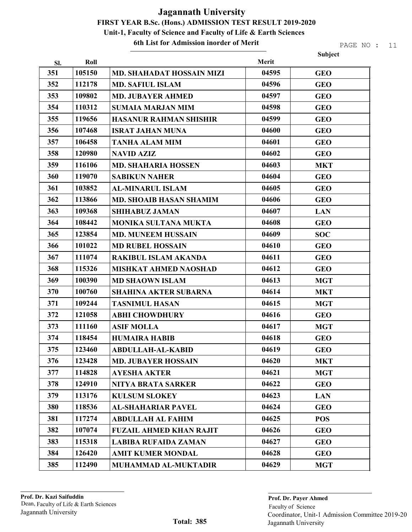6th List for Admission inorder of Merit

|     |        |                                |       | Subject    |
|-----|--------|--------------------------------|-------|------------|
| SI. | Roll   |                                | Merit |            |
| 351 | 105150 | MD. SHAHADAT HOSSAIN MIZI      | 04595 | <b>GEO</b> |
| 352 | 112178 | <b>MD. SAFIUL ISLAM</b>        | 04596 | <b>GEO</b> |
| 353 | 109802 | <b>MD. JUBAYER AHMED</b>       | 04597 | <b>GEO</b> |
| 354 | 110312 | <b>SUMAIA MARJAN MIM</b>       | 04598 | <b>GEO</b> |
| 355 | 119656 | <b>HASANUR RAHMAN SHISHIR</b>  | 04599 | <b>GEO</b> |
| 356 | 107468 | <b>ISRAT JAHAN MUNA</b>        | 04600 | <b>GEO</b> |
| 357 | 106458 | <b>TANHA ALAM MIM</b>          | 04601 | <b>GEO</b> |
| 358 | 120980 | <b>NAVID AZIZ</b>              | 04602 | <b>GEO</b> |
| 359 | 116106 | <b>MD. SHAHARIA HOSSEN</b>     | 04603 | <b>MKT</b> |
| 360 | 119070 | <b>SABIKUN NAHER</b>           | 04604 | <b>GEO</b> |
| 361 | 103852 | <b>AL-MINARUL ISLAM</b>        | 04605 | <b>GEO</b> |
| 362 | 113866 | <b>MD. SHOAIB HASAN SHAMIM</b> | 04606 | <b>GEO</b> |
| 363 | 109368 | <b>SHIHABUZ JAMAN</b>          | 04607 | <b>LAN</b> |
| 364 | 108442 | <b>MONIKA SULTANA MUKTA</b>    | 04608 | <b>GEO</b> |
| 365 | 123854 | <b>MD. MUNEEM HUSSAIN</b>      | 04609 | <b>SOC</b> |
| 366 | 101022 | <b>MD RUBEL HOSSAIN</b>        | 04610 | <b>GEO</b> |
| 367 | 111074 | <b>RAKIBUL ISLAM AKANDA</b>    | 04611 | <b>GEO</b> |
| 368 | 115326 | <b>MISHKAT AHMED NAOSHAD</b>   | 04612 | <b>GEO</b> |
| 369 | 100390 | <b>MD SHAOWN ISLAM</b>         | 04613 | <b>MGT</b> |
| 370 | 100760 | <b>SHAHINA AKTER SUBARNA</b>   | 04614 | <b>MKT</b> |
| 371 | 109244 | <b>TASNIMUL HASAN</b>          | 04615 | <b>MGT</b> |
| 372 | 121058 | <b>ABHI CHOWDHURY</b>          | 04616 | <b>GEO</b> |
| 373 | 111160 | <b>ASIF MOLLA</b>              | 04617 | <b>MGT</b> |
| 374 | 118454 | <b>HUMAIRA HABIB</b>           | 04618 | <b>GEO</b> |
| 375 | 123460 | ABDULLAH-AL-KABID              | 04619 | <b>GEO</b> |
| 376 | 123428 | <b>MD. JUBAYER HOSSAIN</b>     | 04620 | <b>MKT</b> |
| 377 | 114828 | <b>AYESHA AKTER</b>            | 04621 | <b>MGT</b> |
| 378 | 124910 | <b>NITYA BRATA SARKER</b>      | 04622 | <b>GEO</b> |
| 379 | 113176 | <b>KULSUM SLOKEY</b>           | 04623 | <b>LAN</b> |
| 380 | 118536 | <b>AL-SHAHARIAR PAVEL</b>      | 04624 | <b>GEO</b> |
| 381 | 117274 | <b>ABDULLAH AL FAHIM</b>       | 04625 | <b>POS</b> |
| 382 | 107074 | <b>FUZAIL AHMED KHAN RAJIT</b> | 04626 | <b>GEO</b> |
| 383 | 115318 | <b>LABIBA RUFAIDA ZAMAN</b>    | 04627 | <b>GEO</b> |
| 384 | 126420 | <b>AMIT KUMER MONDAL</b>       | 04628 | <b>GEO</b> |
| 385 | 112490 | MUHAMMAD AL-MUKTADIR           | 04629 | <b>MGT</b> |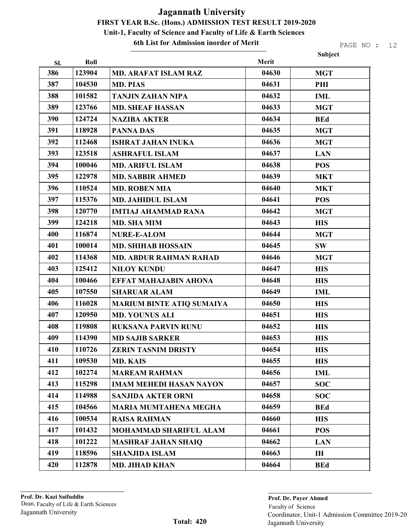6th List for Admission inorder of Merit

|     |        |                                  |       | Subject    |
|-----|--------|----------------------------------|-------|------------|
| SI. | Roll   |                                  | Merit |            |
| 386 | 123904 | <b>MD. ARAFAT ISLAM RAZ</b>      | 04630 | <b>MGT</b> |
| 387 | 104530 | <b>MD. PIAS</b>                  | 04631 | PHI        |
| 388 | 101582 | <b>TANJIN ZAHAN NIPA</b>         | 04632 | <b>IML</b> |
| 389 | 123766 | <b>MD. SHEAF HASSAN</b>          | 04633 | <b>MGT</b> |
| 390 | 124724 | <b>NAZIBA AKTER</b>              | 04634 | <b>BEd</b> |
| 391 | 118928 | <b>PANNA DAS</b>                 | 04635 | <b>MGT</b> |
| 392 | 112468 | <b>ISHRAT JAHAN INUKA</b>        | 04636 | <b>MGT</b> |
| 393 | 123518 | <b>ASHRAFUL ISLAM</b>            | 04637 | <b>LAN</b> |
| 394 | 100046 | <b>MD. ARIFUL ISLAM</b>          | 04638 | <b>POS</b> |
| 395 | 122978 | <b>MD. SABBIR AHMED</b>          | 04639 | <b>MKT</b> |
| 396 | 110524 | <b>MD. ROBEN MIA</b>             | 04640 | <b>MKT</b> |
| 397 | 115376 | <b>MD. JAHIDUL ISLAM</b>         | 04641 | <b>POS</b> |
| 398 | 120770 | <b>IMTIAJ AHAMMAD RANA</b>       | 04642 | <b>MGT</b> |
| 399 | 124218 | <b>MD. SHA MIM</b>               | 04643 | <b>HIS</b> |
| 400 | 116874 | <b>NURE-E-ALOM</b>               | 04644 | <b>MGT</b> |
| 401 | 100014 | <b>MD. SHIHAB HOSSAIN</b>        | 04645 | <b>SW</b>  |
| 402 | 114368 | <b>MD. ABDUR RAHMAN RAHAD</b>    | 04646 | <b>MGT</b> |
| 403 | 125412 | <b>NILOY KUNDU</b>               | 04647 | <b>HIS</b> |
| 404 | 100466 | <b>EFFAT MAHAJABIN AHONA</b>     | 04648 | <b>HIS</b> |
| 405 | 107550 | <b>SHARUAR ALAM</b>              | 04649 | <b>IML</b> |
| 406 | 116028 | <b>MARIUM BINTE ATIQ SUMAIYA</b> | 04650 | <b>HIS</b> |
| 407 | 120950 | <b>MD. YOUNUS ALI</b>            | 04651 | <b>HIS</b> |
| 408 | 119808 | <b>RUKSANA PARVIN RUNU</b>       | 04652 | <b>HIS</b> |
| 409 | 114390 | <b>MD SAJIB SARKER</b>           | 04653 | <b>HIS</b> |
| 410 | 110726 | <b>ZERIN TASNIM DRISTY</b>       | 04654 | <b>HIS</b> |
| 411 | 109530 | <b>MD. KAIS</b>                  | 04655 | <b>HIS</b> |
| 412 | 102274 | <b>MAREAM RAHMAN</b>             | 04656 | <b>IML</b> |
| 413 | 115298 | <b>IMAM MEHEDI HASAN NAYON</b>   | 04657 | <b>SOC</b> |
| 414 | 114988 | <b>SANJIDA AKTER ORNI</b>        | 04658 | <b>SOC</b> |
| 415 | 104566 | <b>MARIA MUMTAHENA MEGHA</b>     | 04659 | <b>BEd</b> |
| 416 | 100534 | <b>RAISA RAHMAN</b>              | 04660 | <b>HIS</b> |
| 417 | 101432 | <b>MOHAMMAD SHARIFUL ALAM</b>    | 04661 | <b>POS</b> |
| 418 | 101222 | <b>MASHRAF JAHAN SHAIQ</b>       | 04662 | <b>LAN</b> |
| 419 | 118596 | <b>SHANJIDA ISLAM</b>            | 04663 | IH         |
| 420 | 112878 | <b>MD. JIHAD KHAN</b>            | 04664 | <b>BEd</b> |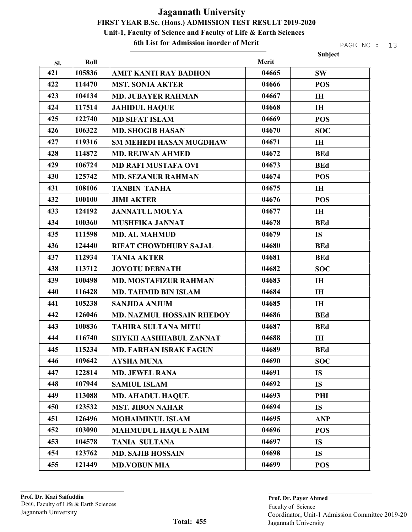6th List for Admission inorder of Merit

|     |        |                                  |       | Subject    |
|-----|--------|----------------------------------|-------|------------|
| SI. | Roll   |                                  | Merit |            |
| 421 | 105836 | <b>AMIT KANTI RAY BADHON</b>     | 04665 | <b>SW</b>  |
| 422 | 114470 | <b>MST. SONIA AKTER</b>          | 04666 | <b>POS</b> |
| 423 | 104134 | <b>MD. JUBAYER RAHMAN</b>        | 04667 | IH         |
| 424 | 117514 | <b>JAHIDUL HAQUE</b>             | 04668 | <b>IH</b>  |
| 425 | 122740 | <b>MD SIFAT ISLAM</b>            | 04669 | <b>POS</b> |
| 426 | 106322 | <b>MD. SHOGIB HASAN</b>          | 04670 | <b>SOC</b> |
| 427 | 119316 | SM MEHEDI HASAN MUGDHAW          | 04671 | <b>IH</b>  |
| 428 | 114872 | <b>MD. REJWAN AHMED</b>          | 04672 | <b>BEd</b> |
| 429 | 106724 | <b>MD RAFI MUSTAFA OVI</b>       | 04673 | <b>BEd</b> |
| 430 | 125742 | <b>MD. SEZANUR RAHMAN</b>        | 04674 | <b>POS</b> |
| 431 | 108106 | <b>TANBIN TANHA</b>              | 04675 | <b>IH</b>  |
| 432 | 100100 | <b>JIMI AKTER</b>                | 04676 | <b>POS</b> |
| 433 | 124192 | <b>JANNATUL MOUYA</b>            | 04677 | IH         |
| 434 | 100360 | <b>MUSHFIKA JANNAT</b>           | 04678 | <b>BEd</b> |
| 435 | 111598 | <b>MD. AL MAHMUD</b>             | 04679 | <b>IS</b>  |
| 436 | 124440 | <b>RIFAT CHOWDHURY SAJAL</b>     | 04680 | <b>BEd</b> |
| 437 | 112934 | <b>TANIA AKTER</b>               | 04681 | <b>BEd</b> |
| 438 | 113712 | <b>JOYOTU DEBNATH</b>            | 04682 | <b>SOC</b> |
| 439 | 100498 | <b>MD. MOSTAFIZUR RAHMAN</b>     | 04683 | IH         |
| 440 | 116428 | <b>MD. TAHMID BIN ISLAM</b>      | 04684 | IH         |
| 441 | 105238 | <b>SANJIDA ANJUM</b>             | 04685 | <b>IH</b>  |
| 442 | 126046 | <b>MD. NAZMUL HOSSAIN RHEDOY</b> | 04686 | <b>BEd</b> |
| 443 | 100836 | <b>TAHIRA SULTANA MITU</b>       | 04687 | <b>BEd</b> |
| 444 | 116740 | SHYKH AASHHABUL ZANNAT           | 04688 | IH         |
| 445 | 115234 | <b>MD. FARHAN ISRAK FAGUN</b>    | 04689 | <b>BEd</b> |
| 446 | 109642 | AYSHA MUNA                       | 04690 | <b>SOC</b> |
| 447 | 122814 | <b>MD. JEWEL RANA</b>            | 04691 | <b>IS</b>  |
| 448 | 107944 | <b>SAMIUL ISLAM</b>              | 04692 | <b>IS</b>  |
| 449 | 113088 | <b>MD. AHADUL HAQUE</b>          | 04693 | PHI        |
| 450 | 123532 | <b>MST. JIBON NAHAR</b>          | 04694 | <b>IS</b>  |
| 451 | 126496 | <b>MOHAIMINUL ISLAM</b>          | 04695 | <b>ANP</b> |
| 452 | 103090 | <b>MAHMUDUL HAQUE NAIM</b>       | 04696 | <b>POS</b> |
| 453 | 104578 | <b>TANIA SULTANA</b>             | 04697 | <b>IS</b>  |
| 454 | 123762 | <b>MD. SAJIB HOSSAIN</b>         | 04698 | <b>IS</b>  |
| 455 | 121449 | <b>MD.VOBUN MIA</b>              | 04699 | <b>POS</b> |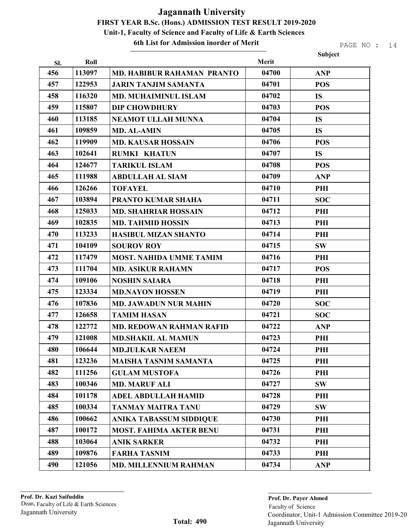6th List for Admission inorder of Merit

|     |        |                                   |       | Subject    |
|-----|--------|-----------------------------------|-------|------------|
| Sl. | Roll   |                                   | Merit |            |
| 456 | 113097 | <b>MD. HABIBUR RAHAMAN PRANTO</b> | 04700 | <b>ANP</b> |
| 457 | 122953 | <b>JARIN TANJIM SAMANTA</b>       | 04701 | <b>POS</b> |
| 458 | 116320 | <b>MD. MUHAIMINUL ISLAM</b>       | 04702 | <b>IS</b>  |
| 459 | 115807 | <b>DIP CHOWDHURY</b>              | 04703 | <b>POS</b> |
| 460 | 113185 | <b>NEAMOT ULLAH MUNNA</b>         | 04704 | <b>IS</b>  |
| 461 | 109859 | <b>MD. AL-AMIN</b>                | 04705 | <b>IS</b>  |
| 462 | 119909 | <b>MD. KAUSAR HOSSAIN</b>         | 04706 | <b>POS</b> |
| 463 | 102641 | <b>RUMKI KHATUN</b>               | 04707 | <b>IS</b>  |
| 464 | 124677 | <b>TARIKUL ISLAM</b>              | 04708 | <b>POS</b> |
| 465 | 111988 | <b>ABDULLAH AL SIAM</b>           | 04709 | <b>ANP</b> |
| 466 | 126266 | <b>TOFAYEL</b>                    | 04710 | PHI        |
| 467 | 103894 | <b>PRANTO KUMAR SHAHA</b>         | 04711 | <b>SOC</b> |
| 468 | 125033 | <b>MD. SHAHRIAR HOSSAIN</b>       | 04712 | PHI        |
| 469 | 102835 | <b>MD. TAHMID HOSSIN</b>          | 04713 | PHI        |
| 470 | 113233 | <b>HASIBUL MIZAN SHANTO</b>       | 04714 | PHI        |
| 471 | 104109 | <b>SOUROV ROY</b>                 | 04715 | <b>SW</b>  |
| 472 | 117479 | <b>MOST. NAHIDA UMME TAMIM</b>    | 04716 | PHI        |
| 473 | 111704 | <b>MD. ASIKUR RAHAMN</b>          | 04717 | <b>POS</b> |
| 474 | 109106 | <b>NOSHIN SAIARA</b>              | 04718 | PHI        |
| 475 | 123334 | <b>MD.NAYON HOSSEN</b>            | 04719 | PHI        |
| 476 | 107836 | <b>MD. JAWADUN NUR MAHIN</b>      | 04720 | <b>SOC</b> |
| 477 | 126658 | <b>TAMIM HASAN</b>                | 04721 | <b>SOC</b> |
| 478 | 122772 | <b>MD. REDOWAN RAHMAN RAFID</b>   | 04722 | <b>ANP</b> |
| 479 | 121008 | <b>MD.SHAKIL AL MAMUN</b>         | 04723 | PHI        |
| 480 | 106644 | <b>MD.JULKAR NAEEM</b>            | 04724 | PHI        |
| 481 | 123236 | <b>MAISHA TASNIM SAMANTA</b>      | 04725 | PHI        |
| 482 | 111256 | <b>GULAM MUSTOFA</b>              | 04726 | PHI        |
| 483 | 100346 | <b>MD. MARUF ALI</b>              | 04727 | <b>SW</b>  |
| 484 | 101178 | <b>ADEL ABDULLAH HAMID</b>        | 04728 | PHI        |
| 485 | 100334 | <b>TANMAY MAITRA TANU</b>         | 04729 | <b>SW</b>  |
| 486 | 100662 | ANIKA TABASSUM SIDDIQUE           | 04730 | PHI        |
| 487 | 100172 | <b>MOST. FAHIMA AKTER BENU</b>    | 04731 | PHI        |
| 488 | 103064 | <b>ANIK SARKER</b>                | 04732 | PHI        |
| 489 | 109876 | <b>FARHA TASNIM</b>               | 04733 | PHI        |
| 490 | 121056 | <b>MD. MILLENNIUM RAHMAN</b>      | 04734 | <b>ANP</b> |